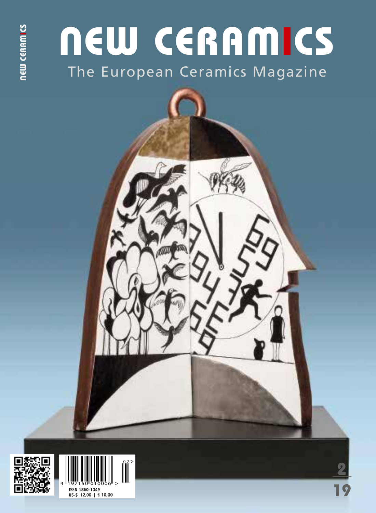# The European Ceramics Magazine NEW CERAMICS



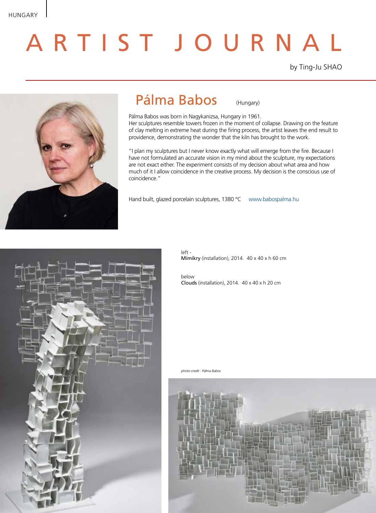# A R T I S T J O U R N A L

by Ting-Ju SHAO



## Pálma Babos (Hungary)

Pálma Babos was born in Nagykanizsa, Hungary in 1961. Her sculptures resemble towers frozen in the moment of collapse. Drawing on the feature of clay melting in extreme heat during the firing process, the artist leaves the end result to providence, demonstrating the wonder that the kiln has brought to the work.

"I plan my sculptures but I never know exactly what will emerge from the fire. Because I have not formulated an accurate vision in my mind about the sculpture, my expectations are not exact either. The experiment consists of my decision about what area and how much of it I allow coincidence in the creative process. My decision is the conscious use of coincidence."

Hand built, glazed porcelain sculptures, 1380 °C www.babospalma.hu



left - Mimikry (installation), 2014. 40 x 40 x h 60 cm

below Clouds (installation), 2014. 40 x 40 x h 20 cm

*photo credit : Pálma Babos*